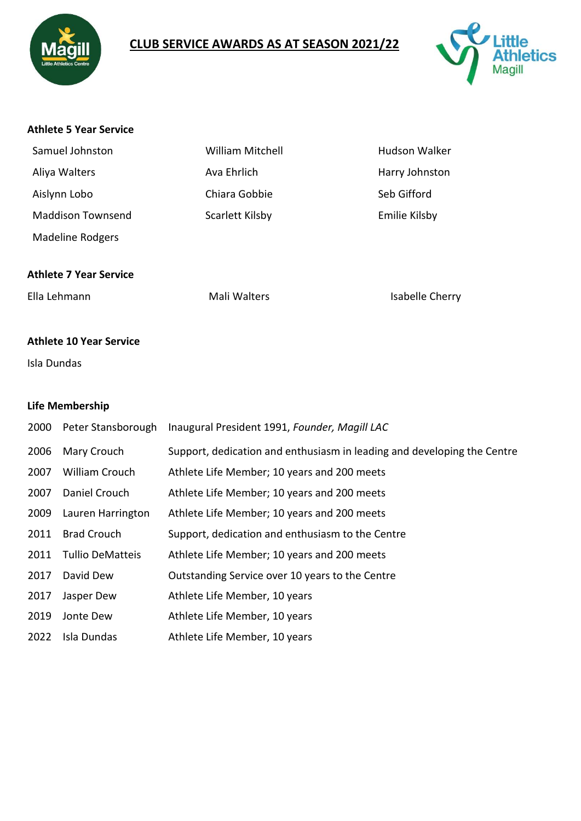

# **CLUB SERVICE AWARDS AS AT SEASON 2021/22**



#### **Athlete 5 Year Service**

| Samuel Johnston          | <b>William Mitchell</b> | <b>Hudson Walker</b> |
|--------------------------|-------------------------|----------------------|
| Aliya Walters            | Ava Ehrlich             | Harry Johnston       |
| Aislynn Lobo             | Chiara Gobbie           | Seb Gifford          |
| <b>Maddison Townsend</b> | Scarlett Kilsby         | Emilie Kilsby        |
| <b>Madeline Rodgers</b>  |                         |                      |

#### **Athlete 7 Year Service**

Ella Lehmann **Mali Walters** Mali Walters **Isabelle Cherry** 

### **Athlete 10 Year Service**

Isla Dundas

#### **Life Membership**

| 2000 | Peter Stansborough      | Inaugural President 1991, Founder, Magill LAC                           |
|------|-------------------------|-------------------------------------------------------------------------|
| 2006 | Mary Crouch             | Support, dedication and enthusiasm in leading and developing the Centre |
| 2007 | William Crouch          | Athlete Life Member; 10 years and 200 meets                             |
| 2007 | Daniel Crouch           | Athlete Life Member; 10 years and 200 meets                             |
| 2009 | Lauren Harrington       | Athlete Life Member; 10 years and 200 meets                             |
| 2011 | <b>Brad Crouch</b>      | Support, dedication and enthusiasm to the Centre                        |
| 2011 | <b>Tullio DeMatteis</b> | Athlete Life Member; 10 years and 200 meets                             |
| 2017 | David Dew               | Outstanding Service over 10 years to the Centre                         |
| 2017 | Jasper Dew              | Athlete Life Member, 10 years                                           |
| 2019 | Jonte Dew               | Athlete Life Member, 10 years                                           |
| 2022 | Isla Dundas             | Athlete Life Member, 10 years                                           |